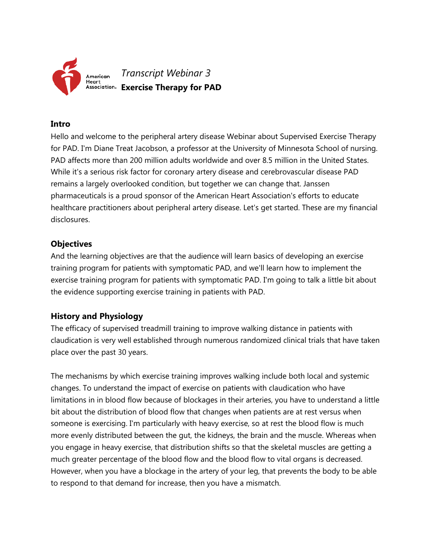

### **Intro**

Hello and welcome to the peripheral artery disease Webinar about Supervised Exercise Therapy for PAD. I'm Diane Treat Jacobson, a professor at the University of Minnesota School of nursing. PAD affects more than 200 million adults worldwide and over 8.5 million in the United States. While it's a serious risk factor for coronary artery disease and cerebrovascular disease PAD remains a largely overlooked condition, but together we can change that. Janssen pharmaceuticals is a proud sponsor of the American Heart Association's efforts to educate healthcare practitioners about peripheral artery disease. Let's get started. These are my financial disclosures.

# **Objectives**

And the learning objectives are that the audience will learn basics of developing an exercise training program for patients with symptomatic PAD, and we'll learn how to implement the exercise training program for patients with symptomatic PAD. I'm going to talk a little bit about the evidence supporting exercise training in patients with PAD.

# **History and Physiology**

The efficacy of supervised treadmill training to improve walking distance in patients with claudication is very well established through numerous randomized clinical trials that have taken place over the past 30 years.

The mechanisms by which exercise training improves walking include both local and systemic changes. To understand the impact of exercise on patients with claudication who have limitations in in blood flow because of blockages in their arteries, you have to understand a little bit about the distribution of blood flow that changes when patients are at rest versus when someone is exercising. I'm particularly with heavy exercise, so at rest the blood flow is much more evenly distributed between the gut, the kidneys, the brain and the muscle. Whereas when you engage in heavy exercise, that distribution shifts so that the skeletal muscles are getting a much greater percentage of the blood flow and the blood flow to vital organs is decreased. However, when you have a blockage in the artery of your leg, that prevents the body to be able to respond to that demand for increase, then you have a mismatch.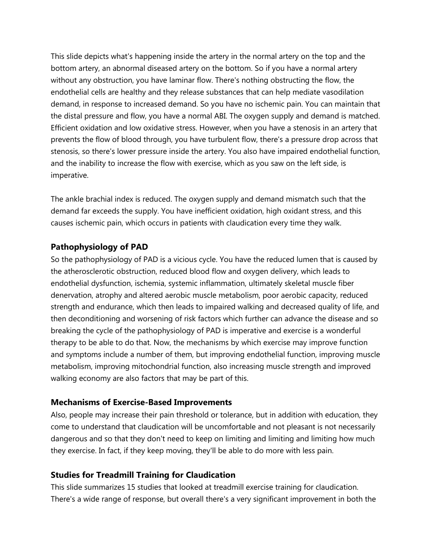This slide depicts what's happening inside the artery in the normal artery on the top and the bottom artery, an abnormal diseased artery on the bottom. So if you have a normal artery without any obstruction, you have laminar flow. There's nothing obstructing the flow, the endothelial cells are healthy and they release substances that can help mediate vasodilation demand, in response to increased demand. So you have no ischemic pain. You can maintain that the distal pressure and flow, you have a normal ABI. The oxygen supply and demand is matched. Efficient oxidation and low oxidative stress. However, when you have a stenosis in an artery that prevents the flow of blood through, you have turbulent flow, there's a pressure drop across that stenosis, so there's lower pressure inside the artery. You also have impaired endothelial function, and the inability to increase the flow with exercise, which as you saw on the left side, is imperative.

The ankle brachial index is reduced. The oxygen supply and demand mismatch such that the demand far exceeds the supply. You have inefficient oxidation, high oxidant stress, and this causes ischemic pain, which occurs in patients with claudication every time they walk.

# **Pathophysiology of PAD**

So the pathophysiology of PAD is a vicious cycle. You have the reduced lumen that is caused by the atherosclerotic obstruction, reduced blood flow and oxygen delivery, which leads to endothelial dysfunction, ischemia, systemic inflammation, ultimately skeletal muscle fiber denervation, atrophy and altered aerobic muscle metabolism, poor aerobic capacity, reduced strength and endurance, which then leads to impaired walking and decreased quality of life, and then deconditioning and worsening of risk factors which further can advance the disease and so breaking the cycle of the pathophysiology of PAD is imperative and exercise is a wonderful therapy to be able to do that. Now, the mechanisms by which exercise may improve function and symptoms include a number of them, but improving endothelial function, improving muscle metabolism, improving mitochondrial function, also increasing muscle strength and improved walking economy are also factors that may be part of this.

### **Mechanisms of Exercise-Based Improvements**

Also, people may increase their pain threshold or tolerance, but in addition with education, they come to understand that claudication will be uncomfortable and not pleasant is not necessarily dangerous and so that they don't need to keep on limiting and limiting and limiting how much they exercise. In fact, if they keep moving, they'll be able to do more with less pain.

### **Studies for Treadmill Training for Claudication**

This slide summarizes 15 studies that looked at treadmill exercise training for claudication. There's a wide range of response, but overall there's a very significant improvement in both the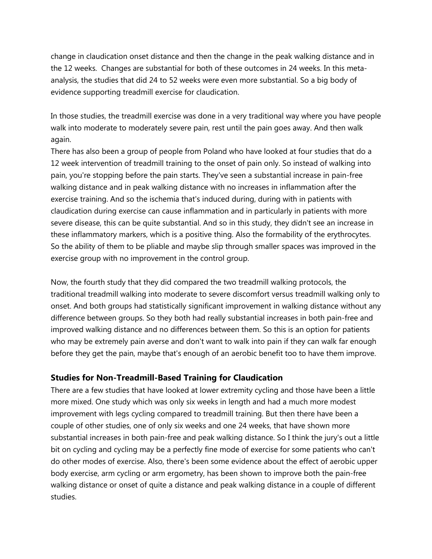change in claudication onset distance and then the change in the peak walking distance and in the 12 weeks. Changes are substantial for both of these outcomes in 24 weeks. In this metaanalysis, the studies that did 24 to 52 weeks were even more substantial. So a big body of evidence supporting treadmill exercise for claudication.

In those studies, the treadmill exercise was done in a very traditional way where you have people walk into moderate to moderately severe pain, rest until the pain goes away. And then walk again.

There has also been a group of people from Poland who have looked at four studies that do a 12 week intervention of treadmill training to the onset of pain only. So instead of walking into pain, you're stopping before the pain starts. They've seen a substantial increase in pain-free walking distance and in peak walking distance with no increases in inflammation after the exercise training. And so the ischemia that's induced during, during with in patients with claudication during exercise can cause inflammation and in particularly in patients with more severe disease, this can be quite substantial. And so in this study, they didn't see an increase in these inflammatory markers, which is a positive thing. Also the formability of the erythrocytes. So the ability of them to be pliable and maybe slip through smaller spaces was improved in the exercise group with no improvement in the control group.

Now, the fourth study that they did compared the two treadmill walking protocols, the traditional treadmill walking into moderate to severe discomfort versus treadmill walking only to onset. And both groups had statistically significant improvement in walking distance without any difference between groups. So they both had really substantial increases in both pain-free and improved walking distance and no differences between them. So this is an option for patients who may be extremely pain averse and don't want to walk into pain if they can walk far enough before they get the pain, maybe that's enough of an aerobic benefit too to have them improve.

### **Studies for Non-Treadmill-Based Training for Claudication**

There are a few studies that have looked at lower extremity cycling and those have been a little more mixed. One study which was only six weeks in length and had a much more modest improvement with legs cycling compared to treadmill training. But then there have been a couple of other studies, one of only six weeks and one 24 weeks, that have shown more substantial increases in both pain-free and peak walking distance. So I think the jury's out a little bit on cycling and cycling may be a perfectly fine mode of exercise for some patients who can't do other modes of exercise. Also, there's been some evidence about the effect of aerobic upper body exercise, arm cycling or arm ergometry, has been shown to improve both the pain-free walking distance or onset of quite a distance and peak walking distance in a couple of different studies.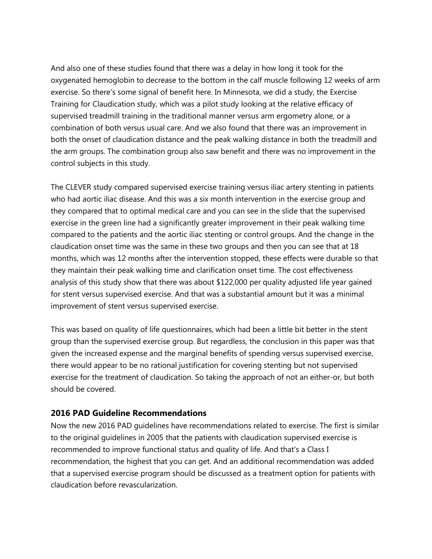And also one of these studies found that there was a delay in how long it took for the oxygenated hemoglobin to decrease to the bottom in the calf muscle following 12 weeks of arm exercise. So there's some signal of benefit here. In Minnesota, we did a study, the Exercise Training for Claudication study, which was a pilot study looking at the relative efficacy of supervised treadmill training in the traditional manner versus arm ergometry alone, or a combination of both versus usual care. And we also found that there was an improvement in both the onset of claudication distance and the peak walking distance in both the treadmill and the arm groups. The combination group also saw benefit and there was no improvement in the control subjects in this study.

The CLEVER study compared supervised exercise training versus iliac artery stenting in patients who had aortic iliac disease. And this was a six month intervention in the exercise group and they compared that to optimal medical care and you can see in the slide that the supervised exercise in the green line had a significantly greater improvement in their peak walking time compared to the patients and the aortic iliac stenting or control groups. And the change in the claudication onset time was the same in these two groups and then you can see that at 18 months, which was 12 months after the intervention stopped, these effects were durable so that they maintain their peak walking time and clarification onset time. The cost effectiveness analysis of this study show that there was about \$122,000 per quality adjusted life year gained for stent versus supervised exercise. And that was a substantial amount but it was a minimal improvement of stent versus supervised exercise.

This was based on quality of life questionnaires, which had been a little bit better in the stent group than the supervised exercise group. But regardless, the conclusion in this paper was that given the increased expense and the marginal benefits of spending versus supervised exercise, there would appear to be no rational justification for covering stenting but not supervised exercise for the treatment of claudication. So taking the approach of not an either-or, but both should be covered.

### **2016 PAD Guideline Recommendations**

Now the new 2016 PAD guidelines have recommendations related to exercise. The first is similar to the original guidelines in 2005 that the patients with claudication supervised exercise is recommended to improve functional status and quality of life. And that's a Class I recommendation, the highest that you can get. And an additional recommendation was added that a supervised exercise program should be discussed as a treatment option for patients with claudication before revascularization.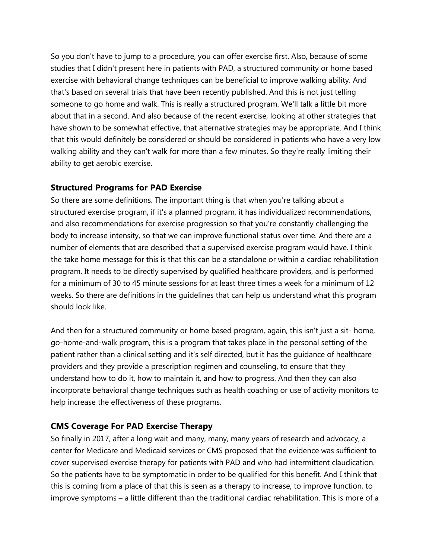So you don't have to jump to a procedure, you can offer exercise first. Also, because of some studies that I didn't present here in patients with PAD, a structured community or home based exercise with behavioral change techniques can be beneficial to improve walking ability. And that's based on several trials that have been recently published. And this is not just telling someone to go home and walk. This is really a structured program. We'll talk a little bit more about that in a second. And also because of the recent exercise, looking at other strategies that have shown to be somewhat effective, that alternative strategies may be appropriate. And I think that this would definitely be considered or should be considered in patients who have a very low walking ability and they can't walk for more than a few minutes. So they're really limiting their ability to get aerobic exercise.

# **Structured Programs for PAD Exercise**

So there are some definitions. The important thing is that when you're talking about a structured exercise program, if it's a planned program, it has individualized recommendations, and also recommendations for exercise progression so that you're constantly challenging the body to increase intensity, so that we can improve functional status over time. And there are a number of elements that are described that a supervised exercise program would have. I think the take home message for this is that this can be a standalone or within a cardiac rehabilitation program. It needs to be directly supervised by qualified healthcare providers, and is performed for a minimum of 30 to 45 minute sessions for at least three times a week for a minimum of 12 weeks. So there are definitions in the guidelines that can help us understand what this program should look like.

And then for a structured community or home based program, again, this isn't just a sit- home, go-home-and-walk program, this is a program that takes place in the personal setting of the patient rather than a clinical setting and it's self directed, but it has the guidance of healthcare providers and they provide a prescription regimen and counseling, to ensure that they understand how to do it, how to maintain it, and how to progress. And then they can also incorporate behavioral change techniques such as health coaching or use of activity monitors to help increase the effectiveness of these programs.

# **CMS Coverage For PAD Exercise Therapy**

So finally in 2017, after a long wait and many, many, many years of research and advocacy, a center for Medicare and Medicaid services or CMS proposed that the evidence was sufficient to cover supervised exercise therapy for patients with PAD and who had intermittent claudication. So the patients have to be symptomatic in order to be qualified for this benefit. And I think that this is coming from a place of that this is seen as a therapy to increase, to improve function, to improve symptoms – a little different than the traditional cardiac rehabilitation. This is more of a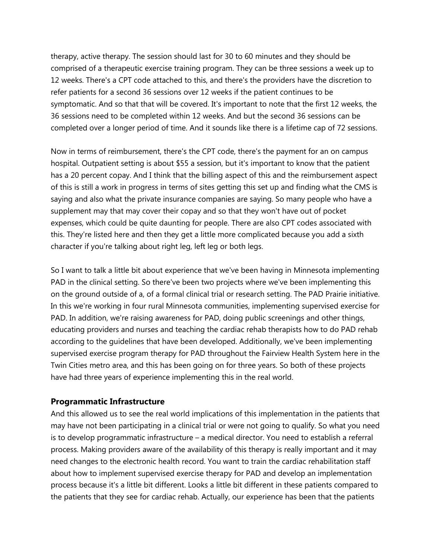therapy, active therapy. The session should last for 30 to 60 minutes and they should be comprised of a therapeutic exercise training program. They can be three sessions a week up to 12 weeks. There's a CPT code attached to this, and there's the providers have the discretion to refer patients for a second 36 sessions over 12 weeks if the patient continues to be symptomatic. And so that that will be covered. It's important to note that the first 12 weeks, the 36 sessions need to be completed within 12 weeks. And but the second 36 sessions can be completed over a longer period of time. And it sounds like there is a lifetime cap of 72 sessions.

Now in terms of reimbursement, there's the CPT code, there's the payment for an on campus hospital. Outpatient setting is about \$55 a session, but it's important to know that the patient has a 20 percent copay. And I think that the billing aspect of this and the reimbursement aspect of this is still a work in progress in terms of sites getting this set up and finding what the CMS is saying and also what the private insurance companies are saying. So many people who have a supplement may that may cover their copay and so that they won't have out of pocket expenses, which could be quite daunting for people. There are also CPT codes associated with this. They're listed here and then they get a little more complicated because you add a sixth character if you're talking about right leg, left leg or both legs.

So I want to talk a little bit about experience that we've been having in Minnesota implementing PAD in the clinical setting. So there've been two projects where we've been implementing this on the ground outside of a, of a formal clinical trial or research setting. The PAD Prairie initiative. In this we're working in four rural Minnesota communities, implementing supervised exercise for PAD. In addition, we're raising awareness for PAD, doing public screenings and other things, educating providers and nurses and teaching the cardiac rehab therapists how to do PAD rehab according to the guidelines that have been developed. Additionally, we've been implementing supervised exercise program therapy for PAD throughout the Fairview Health System here in the Twin Cities metro area, and this has been going on for three years. So both of these projects have had three years of experience implementing this in the real world.

#### **Programmatic Infrastructure**

And this allowed us to see the real world implications of this implementation in the patients that may have not been participating in a clinical trial or were not going to qualify. So what you need is to develop programmatic infrastructure – a medical director. You need to establish a referral process. Making providers aware of the availability of this therapy is really important and it may need changes to the electronic health record. You want to train the cardiac rehabilitation staff about how to implement supervised exercise therapy for PAD and develop an implementation process because it's a little bit different. Looks a little bit different in these patients compared to the patients that they see for cardiac rehab. Actually, our experience has been that the patients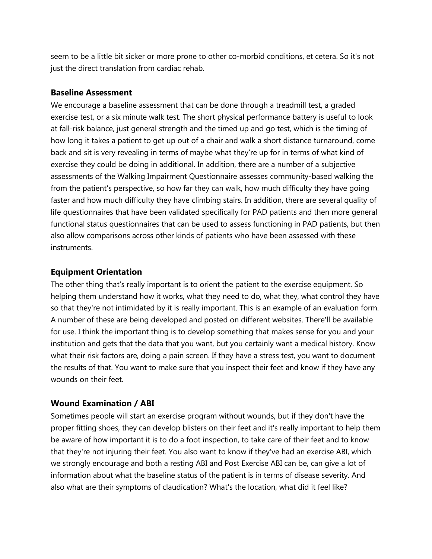seem to be a little bit sicker or more prone to other co-morbid conditions, et cetera. So it's not just the direct translation from cardiac rehab.

#### **Baseline Assessment**

We encourage a baseline assessment that can be done through a treadmill test, a graded exercise test, or a six minute walk test. The short physical performance battery is useful to look at fall-risk balance, just general strength and the timed up and go test, which is the timing of how long it takes a patient to get up out of a chair and walk a short distance turnaround, come back and sit is very revealing in terms of maybe what they're up for in terms of what kind of exercise they could be doing in additional. In addition, there are a number of a subjective assessments of the Walking Impairment Questionnaire assesses community-based walking the from the patient's perspective, so how far they can walk, how much difficulty they have going faster and how much difficulty they have climbing stairs. In addition, there are several quality of life questionnaires that have been validated specifically for PAD patients and then more general functional status questionnaires that can be used to assess functioning in PAD patients, but then also allow comparisons across other kinds of patients who have been assessed with these instruments.

#### **Equipment Orientation**

The other thing that's really important is to orient the patient to the exercise equipment. So helping them understand how it works, what they need to do, what they, what control they have so that they're not intimidated by it is really important. This is an example of an evaluation form. A number of these are being developed and posted on different websites. There'll be available for use. I think the important thing is to develop something that makes sense for you and your institution and gets that the data that you want, but you certainly want a medical history. Know what their risk factors are, doing a pain screen. If they have a stress test, you want to document the results of that. You want to make sure that you inspect their feet and know if they have any wounds on their feet.

#### **Wound Examination / ABI**

Sometimes people will start an exercise program without wounds, but if they don't have the proper fitting shoes, they can develop blisters on their feet and it's really important to help them be aware of how important it is to do a foot inspection, to take care of their feet and to know that they're not injuring their feet. You also want to know if they've had an exercise ABI, which we strongly encourage and both a resting ABI and Post Exercise ABI can be, can give a lot of information about what the baseline status of the patient is in terms of disease severity. And also what are their symptoms of claudication? What's the location, what did it feel like?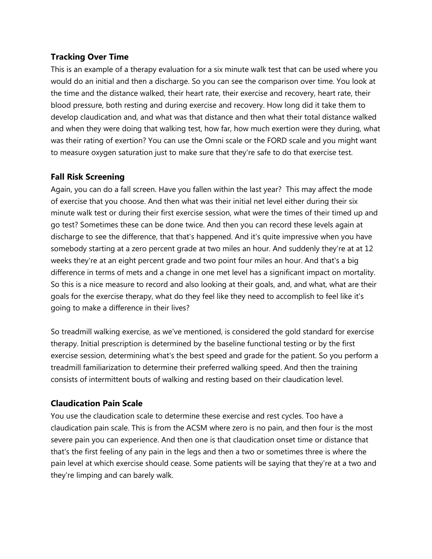# **Tracking Over Time**

This is an example of a therapy evaluation for a six minute walk test that can be used where you would do an initial and then a discharge. So you can see the comparison over time. You look at the time and the distance walked, their heart rate, their exercise and recovery, heart rate, their blood pressure, both resting and during exercise and recovery. How long did it take them to develop claudication and, and what was that distance and then what their total distance walked and when they were doing that walking test, how far, how much exertion were they during, what was their rating of exertion? You can use the Omni scale or the FORD scale and you might want to measure oxygen saturation just to make sure that they're safe to do that exercise test.

# **Fall Risk Screening**

Again, you can do a fall screen. Have you fallen within the last year? This may affect the mode of exercise that you choose. And then what was their initial net level either during their six minute walk test or during their first exercise session, what were the times of their timed up and go test? Sometimes these can be done twice. And then you can record these levels again at discharge to see the difference, that that's happened. And it's quite impressive when you have somebody starting at a zero percent grade at two miles an hour. And suddenly they're at at 12 weeks they're at an eight percent grade and two point four miles an hour. And that's a big difference in terms of mets and a change in one met level has a significant impact on mortality. So this is a nice measure to record and also looking at their goals, and, and what, what are their goals for the exercise therapy, what do they feel like they need to accomplish to feel like it's going to make a difference in their lives?

So treadmill walking exercise, as we've mentioned, is considered the gold standard for exercise therapy. Initial prescription is determined by the baseline functional testing or by the first exercise session, determining what's the best speed and grade for the patient. So you perform a treadmill familiarization to determine their preferred walking speed. And then the training consists of intermittent bouts of walking and resting based on their claudication level.

# **Claudication Pain Scale**

You use the claudication scale to determine these exercise and rest cycles. Too have a claudication pain scale. This is from the ACSM where zero is no pain, and then four is the most severe pain you can experience. And then one is that claudication onset time or distance that that's the first feeling of any pain in the legs and then a two or sometimes three is where the pain level at which exercise should cease. Some patients will be saying that they're at a two and they're limping and can barely walk.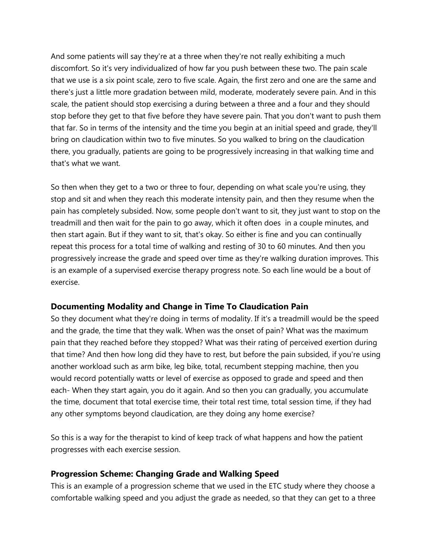And some patients will say they're at a three when they're not really exhibiting a much discomfort. So it's very individualized of how far you push between these two. The pain scale that we use is a six point scale, zero to five scale. Again, the first zero and one are the same and there's just a little more gradation between mild, moderate, moderately severe pain. And in this scale, the patient should stop exercising a during between a three and a four and they should stop before they get to that five before they have severe pain. That you don't want to push them that far. So in terms of the intensity and the time you begin at an initial speed and grade, they'll bring on claudication within two to five minutes. So you walked to bring on the claudication there, you gradually, patients are going to be progressively increasing in that walking time and that's what we want.

So then when they get to a two or three to four, depending on what scale you're using, they stop and sit and when they reach this moderate intensity pain, and then they resume when the pain has completely subsided. Now, some people don't want to sit, they just want to stop on the treadmill and then wait for the pain to go away, which it often does in a couple minutes, and then start again. But if they want to sit, that's okay. So either is fine and you can continually repeat this process for a total time of walking and resting of 30 to 60 minutes. And then you progressively increase the grade and speed over time as they're walking duration improves. This is an example of a supervised exercise therapy progress note. So each line would be a bout of exercise.

# **Documenting Modality and Change in Time To Claudication Pain**

So they document what they're doing in terms of modality. If it's a treadmill would be the speed and the grade, the time that they walk. When was the onset of pain? What was the maximum pain that they reached before they stopped? What was their rating of perceived exertion during that time? And then how long did they have to rest, but before the pain subsided, if you're using another workload such as arm bike, leg bike, total, recumbent stepping machine, then you would record potentially watts or level of exercise as opposed to grade and speed and then each- When they start again, you do it again. And so then you can gradually, you accumulate the time, document that total exercise time, their total rest time, total session time, if they had any other symptoms beyond claudication, are they doing any home exercise?

So this is a way for the therapist to kind of keep track of what happens and how the patient progresses with each exercise session.

### **Progression Scheme: Changing Grade and Walking Speed**

This is an example of a progression scheme that we used in the ETC study where they choose a comfortable walking speed and you adjust the grade as needed, so that they can get to a three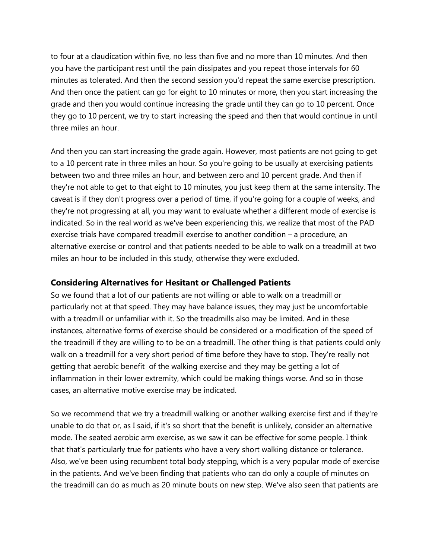to four at a claudication within five, no less than five and no more than 10 minutes. And then you have the participant rest until the pain dissipates and you repeat those intervals for 60 minutes as tolerated. And then the second session you'd repeat the same exercise prescription. And then once the patient can go for eight to 10 minutes or more, then you start increasing the grade and then you would continue increasing the grade until they can go to 10 percent. Once they go to 10 percent, we try to start increasing the speed and then that would continue in until three miles an hour.

And then you can start increasing the grade again. However, most patients are not going to get to a 10 percent rate in three miles an hour. So you're going to be usually at exercising patients between two and three miles an hour, and between zero and 10 percent grade. And then if they're not able to get to that eight to 10 minutes, you just keep them at the same intensity. The caveat is if they don't progress over a period of time, if you're going for a couple of weeks, and they're not progressing at all, you may want to evaluate whether a different mode of exercise is indicated. So in the real world as we've been experiencing this, we realize that most of the PAD exercise trials have compared treadmill exercise to another condition – a procedure, an alternative exercise or control and that patients needed to be able to walk on a treadmill at two miles an hour to be included in this study, otherwise they were excluded.

#### **Considering Alternatives for Hesitant or Challenged Patients**

So we found that a lot of our patients are not willing or able to walk on a treadmill or particularly not at that speed. They may have balance issues, they may just be uncomfortable with a treadmill or unfamiliar with it. So the treadmills also may be limited. And in these instances, alternative forms of exercise should be considered or a modification of the speed of the treadmill if they are willing to to be on a treadmill. The other thing is that patients could only walk on a treadmill for a very short period of time before they have to stop. They're really not getting that aerobic benefit of the walking exercise and they may be getting a lot of inflammation in their lower extremity, which could be making things worse. And so in those cases, an alternative motive exercise may be indicated.

So we recommend that we try a treadmill walking or another walking exercise first and if they're unable to do that or, as I said, if it's so short that the benefit is unlikely, consider an alternative mode. The seated aerobic arm exercise, as we saw it can be effective for some people. I think that that's particularly true for patients who have a very short walking distance or tolerance. Also, we've been using recumbent total body stepping, which is a very popular mode of exercise in the patients. And we've been finding that patients who can do only a couple of minutes on the treadmill can do as much as 20 minute bouts on new step. We've also seen that patients are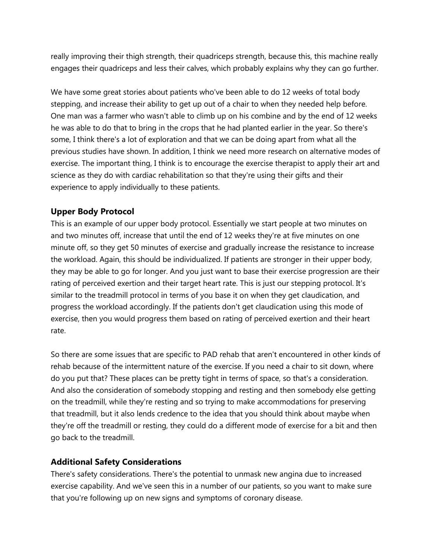really improving their thigh strength, their quadriceps strength, because this, this machine really engages their quadriceps and less their calves, which probably explains why they can go further.

We have some great stories about patients who've been able to do 12 weeks of total body stepping, and increase their ability to get up out of a chair to when they needed help before. One man was a farmer who wasn't able to climb up on his combine and by the end of 12 weeks he was able to do that to bring in the crops that he had planted earlier in the year. So there's some, I think there's a lot of exploration and that we can be doing apart from what all the previous studies have shown. In addition, I think we need more research on alternative modes of exercise. The important thing, I think is to encourage the exercise therapist to apply their art and science as they do with cardiac rehabilitation so that they're using their gifts and their experience to apply individually to these patients.

# **Upper Body Protocol**

This is an example of our upper body protocol. Essentially we start people at two minutes on and two minutes off, increase that until the end of 12 weeks they're at five minutes on one minute off, so they get 50 minutes of exercise and gradually increase the resistance to increase the workload. Again, this should be individualized. If patients are stronger in their upper body, they may be able to go for longer. And you just want to base their exercise progression are their rating of perceived exertion and their target heart rate. This is just our stepping protocol. It's similar to the treadmill protocol in terms of you base it on when they get claudication, and progress the workload accordingly. If the patients don't get claudication using this mode of exercise, then you would progress them based on rating of perceived exertion and their heart rate.

So there are some issues that are specific to PAD rehab that aren't encountered in other kinds of rehab because of the intermittent nature of the exercise. If you need a chair to sit down, where do you put that? These places can be pretty tight in terms of space, so that's a consideration. And also the consideration of somebody stopping and resting and then somebody else getting on the treadmill, while they're resting and so trying to make accommodations for preserving that treadmill, but it also lends credence to the idea that you should think about maybe when they're off the treadmill or resting, they could do a different mode of exercise for a bit and then go back to the treadmill.

### **Additional Safety Considerations**

There's safety considerations. There's the potential to unmask new angina due to increased exercise capability. And we've seen this in a number of our patients, so you want to make sure that you're following up on new signs and symptoms of coronary disease.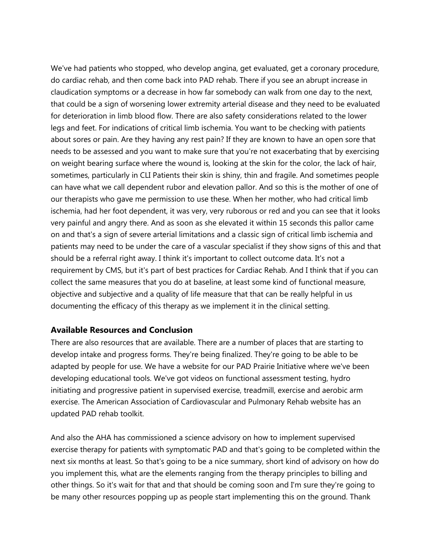We've had patients who stopped, who develop angina, get evaluated, get a coronary procedure, do cardiac rehab, and then come back into PAD rehab. There if you see an abrupt increase in claudication symptoms or a decrease in how far somebody can walk from one day to the next, that could be a sign of worsening lower extremity arterial disease and they need to be evaluated for deterioration in limb blood flow. There are also safety considerations related to the lower legs and feet. For indications of critical limb ischemia. You want to be checking with patients about sores or pain. Are they having any rest pain? If they are known to have an open sore that needs to be assessed and you want to make sure that you're not exacerbating that by exercising on weight bearing surface where the wound is, looking at the skin for the color, the lack of hair, sometimes, particularly in CLI Patients their skin is shiny, thin and fragile. And sometimes people can have what we call dependent rubor and elevation pallor. And so this is the mother of one of our therapists who gave me permission to use these. When her mother, who had critical limb ischemia, had her foot dependent, it was very, very ruborous or red and you can see that it looks very painful and angry there. And as soon as she elevated it within 15 seconds this pallor came on and that's a sign of severe arterial limitations and a classic sign of critical limb ischemia and patients may need to be under the care of a vascular specialist if they show signs of this and that should be a referral right away. I think it's important to collect outcome data. It's not a requirement by CMS, but it's part of best practices for Cardiac Rehab. And I think that if you can collect the same measures that you do at baseline, at least some kind of functional measure, objective and subjective and a quality of life measure that that can be really helpful in us documenting the efficacy of this therapy as we implement it in the clinical setting.

### **Available Resources and Conclusion**

There are also resources that are available. There are a number of places that are starting to develop intake and progress forms. They're being finalized. They're going to be able to be adapted by people for use. We have a website for our PAD Prairie Initiative where we've been developing educational tools. We've got videos on functional assessment testing, hydro initiating and progressive patient in supervised exercise, treadmill, exercise and aerobic arm exercise. The American Association of Cardiovascular and Pulmonary Rehab website has an updated PAD rehab toolkit.

And also the AHA has commissioned a science advisory on how to implement supervised exercise therapy for patients with symptomatic PAD and that's going to be completed within the next six months at least. So that's going to be a nice summary, short kind of advisory on how do you implement this, what are the elements ranging from the therapy principles to billing and other things. So it's wait for that and that should be coming soon and I'm sure they're going to be many other resources popping up as people start implementing this on the ground. Thank